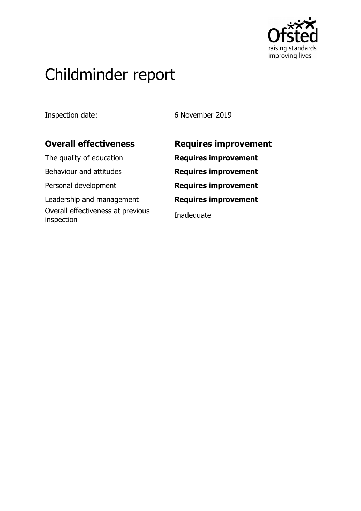

# Childminder report

Inspection date: 6 November 2019

| <b>Overall effectiveness</b>                    | <b>Requires improvement</b> |
|-------------------------------------------------|-----------------------------|
| The quality of education                        | <b>Requires improvement</b> |
| Behaviour and attitudes                         | <b>Requires improvement</b> |
| Personal development                            | <b>Requires improvement</b> |
| Leadership and management                       | <b>Requires improvement</b> |
| Overall effectiveness at previous<br>inspection | Inadequate                  |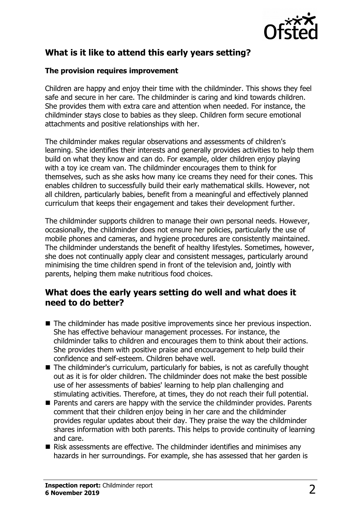

# **What is it like to attend this early years setting?**

### **The provision requires improvement**

Children are happy and enjoy their time with the childminder. This shows they feel safe and secure in her care. The childminder is caring and kind towards children. She provides them with extra care and attention when needed. For instance, the childminder stays close to babies as they sleep. Children form secure emotional attachments and positive relationships with her.

The childminder makes regular observations and assessments of children's learning. She identifies their interests and generally provides activities to help them build on what they know and can do. For example, older children enjoy playing with a toy ice cream van. The childminder encourages them to think for themselves, such as she asks how many ice creams they need for their cones. This enables children to successfully build their early mathematical skills. However, not all children, particularly babies, benefit from a meaningful and effectively planned curriculum that keeps their engagement and takes their development further.

The childminder supports children to manage their own personal needs. However, occasionally, the childminder does not ensure her policies, particularly the use of mobile phones and cameras, and hygiene procedures are consistently maintained. The childminder understands the benefit of healthy lifestyles. Sometimes, however, she does not continually apply clear and consistent messages, particularly around minimising the time children spend in front of the television and, jointly with parents, helping them make nutritious food choices.

## **What does the early years setting do well and what does it need to do better?**

- The childminder has made positive improvements since her previous inspection. She has effective behaviour management processes. For instance, the childminder talks to children and encourages them to think about their actions. She provides them with positive praise and encouragement to help build their confidence and self-esteem. Children behave well.
- The childminder's curriculum, particularly for babies, is not as carefully thought out as it is for older children. The childminder does not make the best possible use of her assessments of babies' learning to help plan challenging and stimulating activities. Therefore, at times, they do not reach their full potential.
- Parents and carers are happy with the service the childminder provides. Parents comment that their children enjoy being in her care and the childminder provides regular updates about their day. They praise the way the childminder shares information with both parents. This helps to provide continuity of learning and care.
- $\blacksquare$  Risk assessments are effective. The childminder identifies and minimises any hazards in her surroundings. For example, she has assessed that her garden is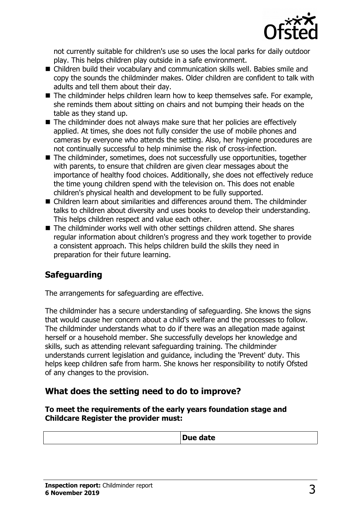

not currently suitable for children's use so uses the local parks for daily outdoor play. This helps children play outside in a safe environment.

- Children build their vocabulary and communication skills well. Babies smile and copy the sounds the childminder makes. Older children are confident to talk with adults and tell them about their day.
- $\blacksquare$  The childminder helps children learn how to keep themselves safe. For example, she reminds them about sitting on chairs and not bumping their heads on the table as they stand up.
- $\blacksquare$  The childminder does not always make sure that her policies are effectively applied. At times, she does not fully consider the use of mobile phones and cameras by everyone who attends the setting. Also, her hygiene procedures are not continually successful to help minimise the risk of cross-infection.
- The childminder, sometimes, does not successfully use opportunities, together with parents, to ensure that children are given clear messages about the importance of healthy food choices. Additionally, she does not effectively reduce the time young children spend with the television on. This does not enable children's physical health and development to be fully supported.
- $\blacksquare$  Children learn about similarities and differences around them. The childminder talks to children about diversity and uses books to develop their understanding. This helps children respect and value each other.
- $\blacksquare$  The childminder works well with other settings children attend. She shares regular information about children's progress and they work together to provide a consistent approach. This helps children build the skills they need in preparation for their future learning.

# **Safeguarding**

The arrangements for safeguarding are effective.

The childminder has a secure understanding of safeguarding. She knows the signs that would cause her concern about a child's welfare and the processes to follow. The childminder understands what to do if there was an allegation made against herself or a household member. She successfully develops her knowledge and skills, such as attending relevant safeguarding training. The childminder understands current legislation and guidance, including the 'Prevent' duty. This helps keep children safe from harm. She knows her responsibility to notify Ofsted of any changes to the provision.

## **What does the setting need to do to improve?**

**To meet the requirements of the early years foundation stage and Childcare Register the provider must:**

| -- |
|----|
|----|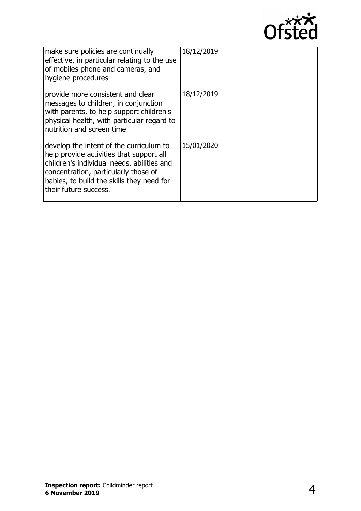

| make sure policies are continually<br>effective, in particular relating to the use<br>of mobiles phone and cameras, and<br>hygiene procedures                                                                                                   | 18/12/2019 |
|-------------------------------------------------------------------------------------------------------------------------------------------------------------------------------------------------------------------------------------------------|------------|
| provide more consistent and clear<br>messages to children, in conjunction<br>with parents, to help support children's<br>physical health, with particular regard to<br>nutrition and screen time                                                | 18/12/2019 |
| develop the intent of the curriculum to<br>help provide activities that support all<br>children's individual needs, abilities and<br>concentration, particularly those of<br>babies, to build the skills they need for<br>their future success. | 15/01/2020 |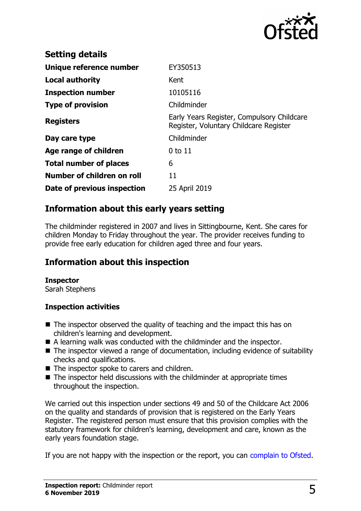

| <b>Setting details</b>        |                                                                                      |
|-------------------------------|--------------------------------------------------------------------------------------|
| Unique reference number       | EY350513                                                                             |
| <b>Local authority</b>        | Kent                                                                                 |
| <b>Inspection number</b>      | 10105116                                                                             |
| <b>Type of provision</b>      | Childminder                                                                          |
| <b>Registers</b>              | Early Years Register, Compulsory Childcare<br>Register, Voluntary Childcare Register |
| Day care type                 | Childminder                                                                          |
| Age range of children         | $0$ to $11$                                                                          |
| <b>Total number of places</b> | 6                                                                                    |
| Number of children on roll    | 11                                                                                   |
| Date of previous inspection   | 25 April 2019                                                                        |

# **Information about this early years setting**

The childminder registered in 2007 and lives in Sittingbourne, Kent. She cares for children Monday to Friday throughout the year. The provider receives funding to provide free early education for children aged three and four years.

# **Information about this inspection**

#### **Inspector**

Sarah Stephens

#### **Inspection activities**

- $\blacksquare$  The inspector observed the quality of teaching and the impact this has on children's learning and development.
- A learning walk was conducted with the childminder and the inspector.
- $\blacksquare$  The inspector viewed a range of documentation, including evidence of suitability checks and qualifications.
- $\blacksquare$  The inspector spoke to carers and children.
- $\blacksquare$  The inspector held discussions with the childminder at appropriate times throughout the inspection.

We carried out this inspection under sections 49 and 50 of the Childcare Act 2006 on the quality and standards of provision that is registered on the Early Years Register. The registered person must ensure that this provision complies with the statutory framework for children's learning, development and care, known as the early years foundation stage.

If you are not happy with the inspection or the report, you can [complain to Ofsted.](http://www.gov.uk/complain-ofsted-report)